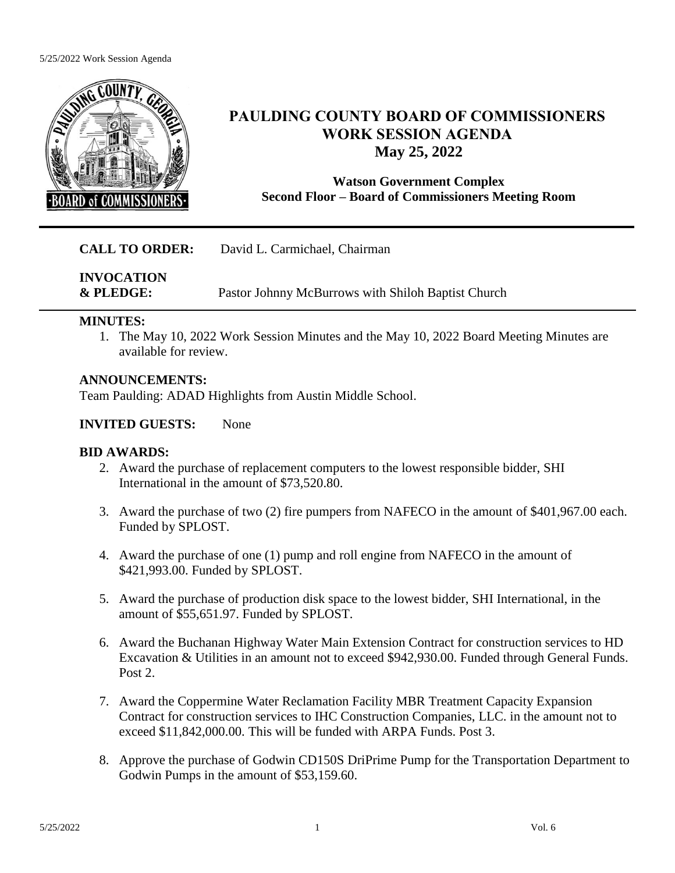#### 5/25/2022 Work Session Agenda



## **PAULDING COUNTY BOARD OF COMMISSIONERS WORK SESSION AGENDA May 25, 2022**

### **Watson Government Complex Second Floor – Board of Commissioners Meeting Room**

### **CALL TO ORDER:** David L. Carmichael, Chairman

**INVOCATION & PLEDGE:** Pastor Johnny McBurrows with Shiloh Baptist Church

#### **MINUTES:**

1. The May 10, 2022 Work Session Minutes and the May 10, 2022 Board Meeting Minutes are available for review.

### **ANNOUNCEMENTS:**

Team Paulding: ADAD Highlights from Austin Middle School.

### **INVITED GUESTS:** None

#### **BID AWARDS:**

- 2. Award the purchase of replacement computers to the lowest responsible bidder, SHI International in the amount of \$73,520.80.
- 3. Award the purchase of two (2) fire pumpers from NAFECO in the amount of \$401,967.00 each. Funded by SPLOST.
- 4. Award the purchase of one (1) pump and roll engine from NAFECO in the amount of \$421,993.00. Funded by SPLOST.
- 5. Award the purchase of production disk space to the lowest bidder, SHI International, in the amount of \$55,651.97. Funded by SPLOST.
- 6. Award the Buchanan Highway Water Main Extension Contract for construction services to HD Excavation & Utilities in an amount not to exceed \$942,930.00. Funded through General Funds. Post 2.
- 7. Award the Coppermine Water Reclamation Facility MBR Treatment Capacity Expansion Contract for construction services to IHC Construction Companies, LLC. in the amount not to exceed \$11,842,000.00. This will be funded with ARPA Funds. Post 3.
- 8. Approve the purchase of Godwin CD150S DriPrime Pump for the Transportation Department to Godwin Pumps in the amount of \$53,159.60.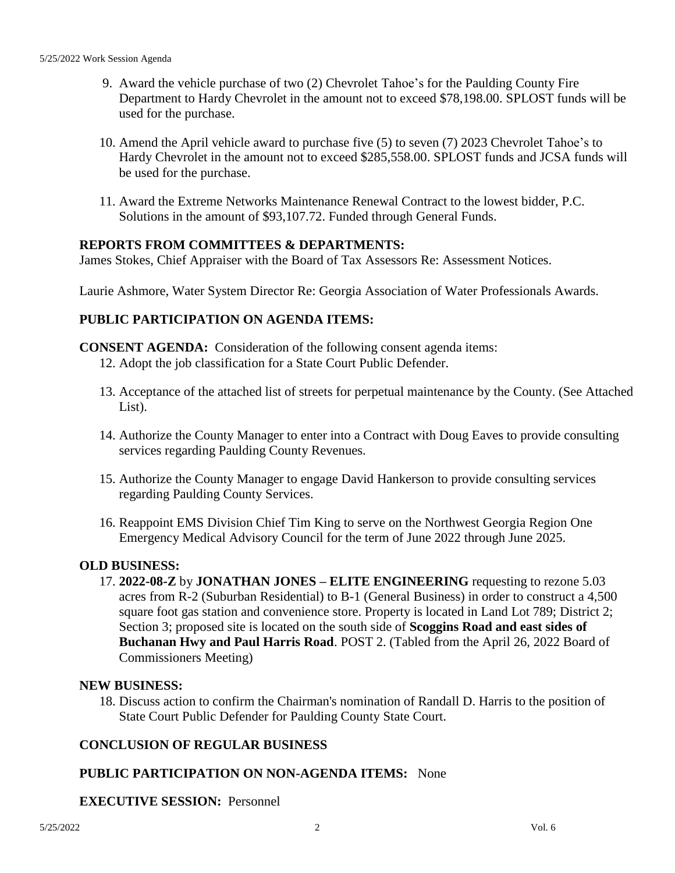- 9. Award the vehicle purchase of two (2) Chevrolet Tahoe's for the Paulding County Fire Department to Hardy Chevrolet in the amount not to exceed \$78,198.00. SPLOST funds will be used for the purchase.
- 10. Amend the April vehicle award to purchase five (5) to seven (7) 2023 Chevrolet Tahoe's to Hardy Chevrolet in the amount not to exceed \$285,558.00. SPLOST funds and JCSA funds will be used for the purchase.
- 11. Award the Extreme Networks Maintenance Renewal Contract to the lowest bidder, P.C. Solutions in the amount of \$93,107.72. Funded through General Funds.

#### **REPORTS FROM COMMITTEES & DEPARTMENTS:**

James Stokes, Chief Appraiser with the Board of Tax Assessors Re: Assessment Notices.

Laurie Ashmore, Water System Director Re: Georgia Association of Water Professionals Awards.

#### **PUBLIC PARTICIPATION ON AGENDA ITEMS:**

- **CONSENT AGENDA:** Consideration of the following consent agenda items:
	- 12. Adopt the job classification for a State Court Public Defender.
	- 13. Acceptance of the attached list of streets for perpetual maintenance by the County. (See Attached List).
	- 14. Authorize the County Manager to enter into a Contract with Doug Eaves to provide consulting services regarding Paulding County Revenues.
	- 15. Authorize the County Manager to engage David Hankerson to provide consulting services regarding Paulding County Services.
	- 16. Reappoint EMS Division Chief Tim King to serve on the Northwest Georgia Region One Emergency Medical Advisory Council for the term of June 2022 through June 2025.

#### **OLD BUSINESS:**

17. **2022-08-Z** by **JONATHAN JONES – ELITE ENGINEERING** requesting to rezone 5.03 acres from R-2 (Suburban Residential) to B-1 (General Business) in order to construct a 4,500 square foot gas station and convenience store. Property is located in Land Lot 789; District 2; Section 3; proposed site is located on the south side of **Scoggins Road and east sides of Buchanan Hwy and Paul Harris Road**. POST 2. (Tabled from the April 26, 2022 Board of Commissioners Meeting)

#### **NEW BUSINESS:**

18. Discuss action to confirm the Chairman's nomination of Randall D. Harris to the position of State Court Public Defender for Paulding County State Court.

#### **CONCLUSION OF REGULAR BUSINESS**

#### **PUBLIC PARTICIPATION ON NON-AGENDA ITEMS:** None

#### **EXECUTIVE SESSION:** Personnel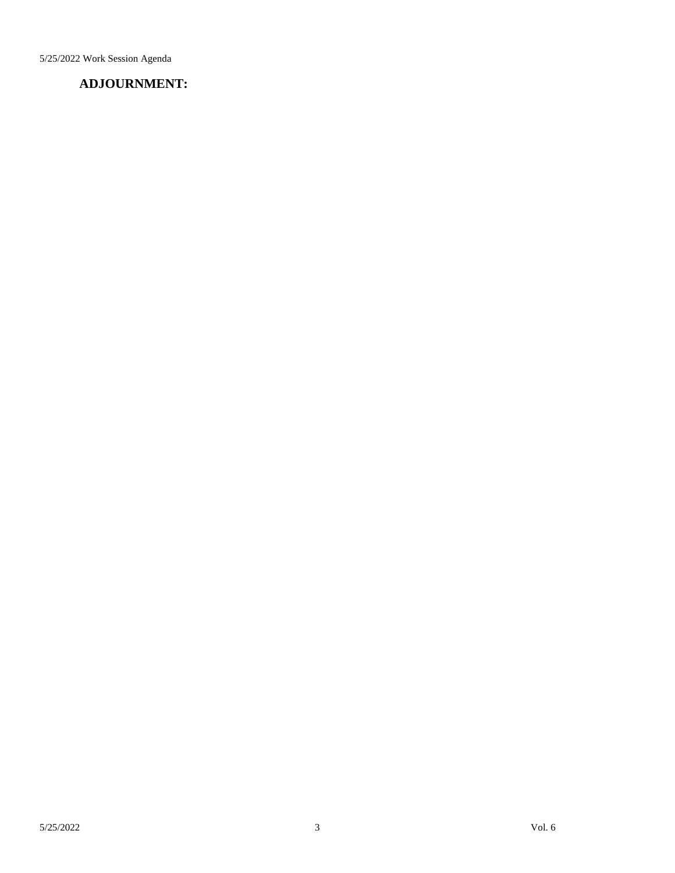5/25/2022 Work Session Agenda

### **ADJOURNMENT:**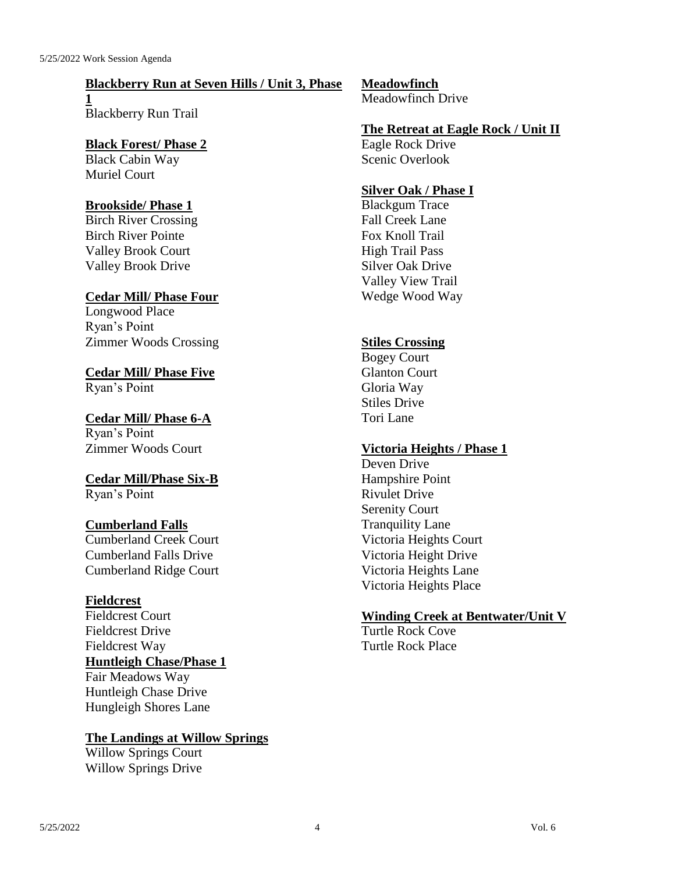#### **Blackberry Run at Seven Hills / Unit 3, Phase**

**1** Blackberry Run Trail

### **Black Forest/ Phase 2** Black Cabin Way

Muriel Court

### **Brookside/ Phase 1**

Birch River Crossing Birch River Pointe Valley Brook Court Valley Brook Drive

### **Cedar Mill/ Phase Four**

Longwood Place Ryan's Point Zimmer Woods Crossing

#### **Cedar Mill/ Phase Five** Ryan's Point

**Cedar Mill/ Phase 6-A** Ryan's Point Zimmer Woods Court

### **Cedar Mill/Phase Six-B** Ryan's Point

### **Cumberland Falls**

Cumberland Creek Court Cumberland Falls Drive Cumberland Ridge Court

### **Fieldcrest**

Fieldcrest Court Fieldcrest Drive Fieldcrest Way **Huntleigh Chase/Phase 1** Fair Meadows Way Huntleigh Chase Drive Hungleigh Shores Lane

### **The Landings at Willow Springs**

Willow Springs Court Willow Springs Drive

# **Meadowfinch**

Meadowfinch Drive

### **The Retreat at Eagle Rock / Unit II**

Eagle Rock Drive Scenic Overlook

### **Silver Oak / Phase I**

Blackgum Trace Fall Creek Lane Fox Knoll Trail High Trail Pass Silver Oak Drive Valley View Trail Wedge Wood Way

### **Stiles Crossing**

Bogey Court Glanton Court Gloria Way Stiles Drive Tori Lane

### **Victoria Heights / Phase 1**

Deven Drive Hampshire Point Rivulet Drive Serenity Court Tranquility Lane Victoria Heights Court Victoria Height Drive Victoria Heights Lane Victoria Heights Place

### **Winding Creek at Bentwater/Unit V**

Turtle Rock Cove Turtle Rock Place